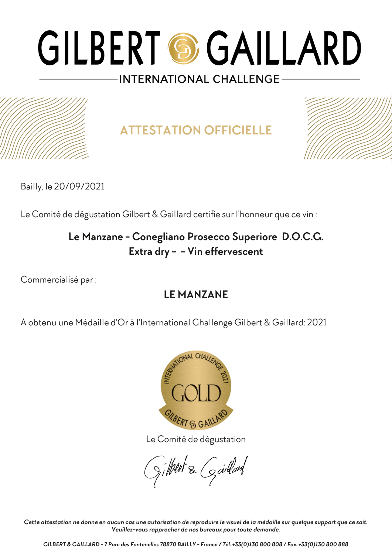

**ATTESTATION OFFICIELLE**



Bailly, le 20/09/2021

Le Comité de dégustation Gilbert & Gaillard certifie sur l'honneur que ce vin :

### **Le Manzane - Conegliano Prosecco Superiore D.O.C.G. Extra dry - - Vin effervescent**

Commercialisé par :

### **LE MANZANE**

A obtenu une Médaille d'Or à l'International Challenge Gilbert & Gaillard: 2021



Le Comité de dégustation

gilbert & Gardard

*Cette attestation ne donne en aucun cas une autorisation de reproduire le visuel de la médaille sur quelque support que ce soit. Veuillez-vous rapprocher de nos bureaux pour toute demande.*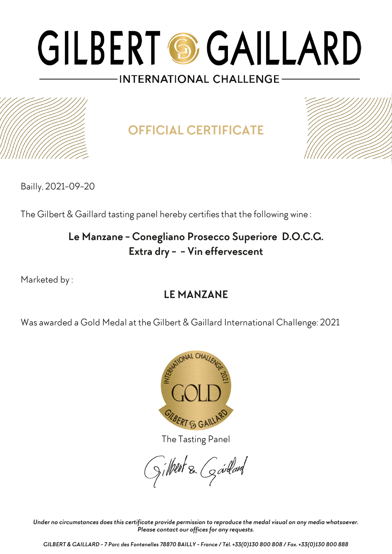

**OFFICIAL CERTIFICATE**



Bailly, 2021-09-20

The Gilbert & Gaillard tasting panel hereby certifies that the following wine :

## **Le Manzane - Conegliano Prosecco Superiore D.O.C.G. Extra dry - - Vin effervescent**

Marketed by :

## **LE MANZANE**

Was awarded a Gold Medal at the Gilbert & Gaillard International Challenge: 2021



The Tasting Panel

gilbert & Gardard

*Under no circumstances does this certificate provide permission to reproduce the medal visual on any media whatsoever. Please contact our offices for any requests.*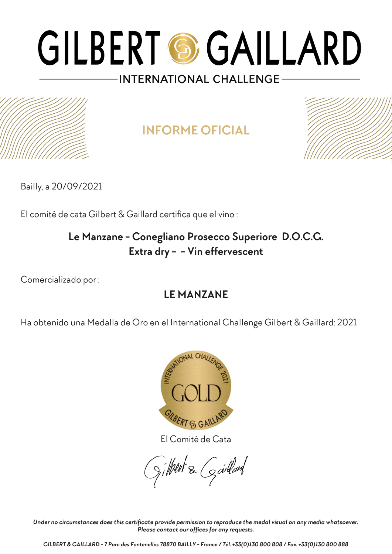**INFORME OFICIAL**



Bailly, a 20/09/2021

El comité de cata Gilbert & Gaillard certifica que el vino :

## **Le Manzane - Conegliano Prosecco Superiore D.O.C.G. Extra dry - - Vin effervescent**

Comercializado por :

## **LE MANZANE**

Ha obtenido una Medalla de Oro en el International Challenge Gilbert & Gaillard: 2021



El Comité de Cata

gilbert & Goullard

*Under no circumstances does this certificate provide permission to reproduce the medal visual on any media whatsoever. Please contact our offices for any requests.*